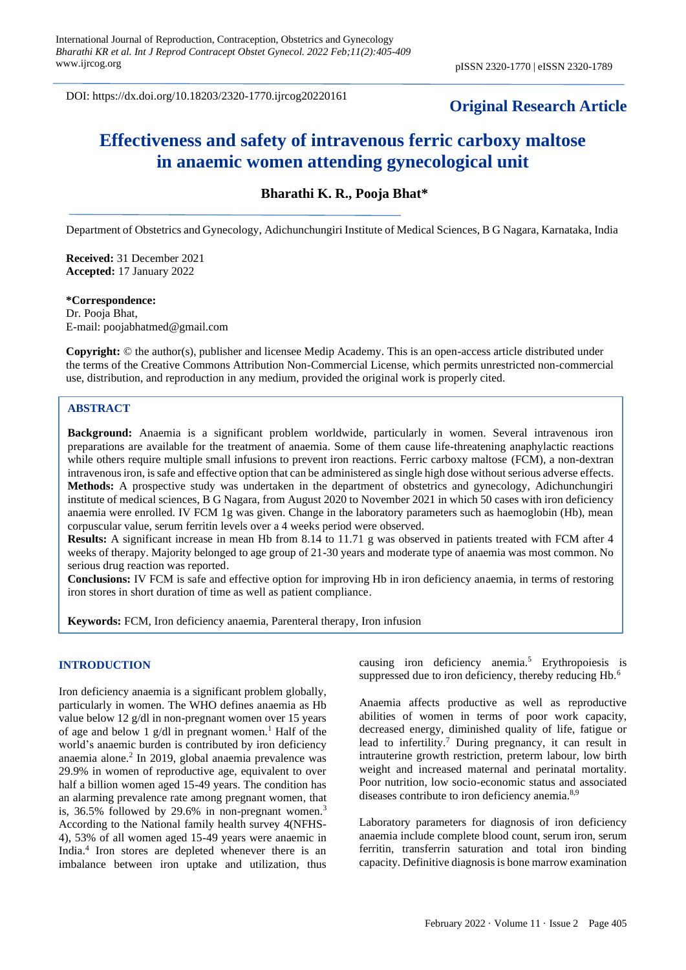DOI: https://dx.doi.org/10.18203/2320-1770.ijrcog20220161

# **Original Research Article**

# **Effectiveness and safety of intravenous ferric carboxy maltose in anaemic women attending gynecological unit**

**Bharathi K. R., Pooja Bhat\***

Department of Obstetrics and Gynecology, Adichunchungiri Institute of Medical Sciences, B G Nagara, Karnataka, India

**Received:** 31 December 2021 **Accepted:** 17 January 2022

**\*Correspondence:**

Dr. Pooja Bhat, E-mail: poojabhatmed@gmail.com

**Copyright:** © the author(s), publisher and licensee Medip Academy. This is an open-access article distributed under the terms of the Creative Commons Attribution Non-Commercial License, which permits unrestricted non-commercial use, distribution, and reproduction in any medium, provided the original work is properly cited.

# **ABSTRACT**

**Background:** Anaemia is a significant problem worldwide, particularly in women. Several intravenous iron preparations are available for the treatment of anaemia. Some of them cause life-threatening anaphylactic reactions while others require multiple small infusions to prevent iron reactions. Ferric carboxy maltose (FCM), a non-dextran intravenous iron, is safe and effective option that can be administered as single high dose without serious adverse effects. **Methods:** A prospective study was undertaken in the department of obstetrics and gynecology, Adichunchungiri institute of medical sciences, B G Nagara, from August 2020 to November 2021 in which 50 cases with iron deficiency anaemia were enrolled. IV FCM 1g was given. Change in the laboratory parameters such as haemoglobin (Hb), mean corpuscular value, serum ferritin levels over a 4 weeks period were observed.

**Results:** A significant increase in mean Hb from 8.14 to 11.71 g was observed in patients treated with FCM after 4 weeks of therapy. Majority belonged to age group of 21-30 years and moderate type of anaemia was most common. No serious drug reaction was reported.

**Conclusions:** IV FCM is safe and effective option for improving Hb in iron deficiency anaemia, in terms of restoring iron stores in short duration of time as well as patient compliance.

**Keywords:** FCM, Iron deficiency anaemia, Parenteral therapy, Iron infusion

## **INTRODUCTION**

Iron deficiency anaemia is a significant problem globally, particularly in women. The WHO defines anaemia as Hb value below 12 g/dl in non-pregnant women over 15 years of age and below 1 g/dl in pregnant women.<sup>1</sup> Half of the world's anaemic burden is contributed by iron deficiency anaemia alone.<sup>2</sup> In 2019, global anaemia prevalence was 29.9% in women of reproductive age, equivalent to over half a billion women aged 15-49 years. The condition has an alarming prevalence rate among pregnant women, that is, 36.5% followed by 29.6% in non-pregnant women.<sup>3</sup> According to the National family health survey 4(NFHS-4), 53% of all women aged 15-49 years were anaemic in India.<sup>4</sup> Iron stores are depleted whenever there is an imbalance between iron uptake and utilization, thus causing iron deficiency anemia.<sup>5</sup> Erythropoiesis is suppressed due to iron deficiency, thereby reducing Hb.<sup>6</sup>

Anaemia affects productive as well as reproductive abilities of women in terms of poor work capacity, decreased energy, diminished quality of life, fatigue or lead to infertility.<sup>7</sup> During pregnancy, it can result in intrauterine growth restriction, preterm labour, low birth weight and increased maternal and perinatal mortality. Poor nutrition, low socio-economic status and associated diseases contribute to iron deficiency anemia.<sup>8,9</sup>

Laboratory parameters for diagnosis of iron deficiency anaemia include complete blood count, serum iron, serum ferritin, transferrin saturation and total iron binding capacity. Definitive diagnosis is bone marrow examination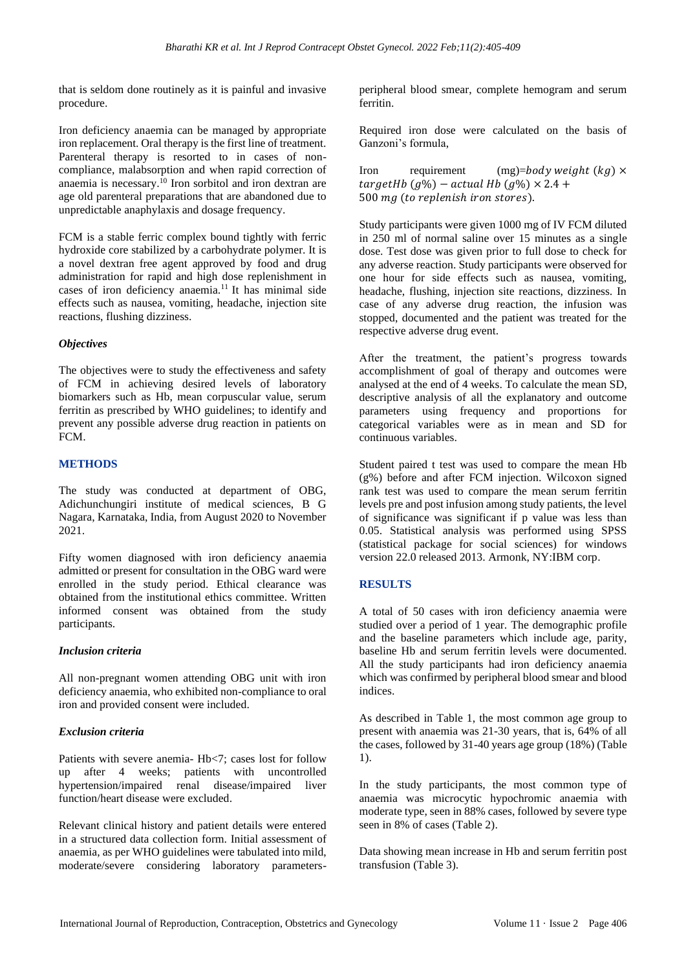that is seldom done routinely as it is painful and invasive procedure.

Iron deficiency anaemia can be managed by appropriate iron replacement. Oral therapy is the first line of treatment. Parenteral therapy is resorted to in cases of noncompliance, malabsorption and when rapid correction of anaemia is necessary.<sup>10</sup> Iron sorbitol and iron dextran are age old parenteral preparations that are abandoned due to unpredictable anaphylaxis and dosage frequency.

FCM is a stable ferric complex bound tightly with ferric hydroxide core stabilized by a carbohydrate polymer. It is a novel dextran free agent approved by food and drug administration for rapid and high dose replenishment in cases of iron deficiency anaemia.<sup>11</sup> It has minimal side effects such as nausea, vomiting, headache, injection site reactions, flushing dizziness.

# *Objectives*

The objectives were to study the effectiveness and safety of FCM in achieving desired levels of laboratory biomarkers such as Hb, mean corpuscular value, serum ferritin as prescribed by WHO guidelines; to identify and prevent any possible adverse drug reaction in patients on FCM.

#### **METHODS**

The study was conducted at department of OBG, Adichunchungiri institute of medical sciences, B G Nagara, Karnataka, India, from August 2020 to November 2021.

Fifty women diagnosed with iron deficiency anaemia admitted or present for consultation in the OBG ward were enrolled in the study period. Ethical clearance was obtained from the institutional ethics committee. Written informed consent was obtained from the study participants.

#### *Inclusion criteria*

All non-pregnant women attending OBG unit with iron deficiency anaemia, who exhibited non-compliance to oral iron and provided consent were included.

# *Exclusion criteria*

Patients with severe anemia- Hb<7; cases lost for follow up after 4 weeks; patients with uncontrolled hypertension/impaired renal disease/impaired liver function/heart disease were excluded.

Relevant clinical history and patient details were entered in a structured data collection form. Initial assessment of anaemia, as per WHO guidelines were tabulated into mild, moderate/severe considering laboratory parametersperipheral blood smear, complete hemogram and serum ferritin.

Required iron dose were calculated on the basis of Ganzoni's formula,

Iron requirement  $(mg)=body$  weight  $(kg) \times$  $targetHb(g\%)$  – actual Hb  $(g\%)$  × 2.4 + 500 mg (to replenish iron stores).

Study participants were given 1000 mg of IV FCM diluted in 250 ml of normal saline over 15 minutes as a single dose. Test dose was given prior to full dose to check for any adverse reaction. Study participants were observed for one hour for side effects such as nausea, vomiting, headache, flushing, injection site reactions, dizziness. In case of any adverse drug reaction, the infusion was stopped, documented and the patient was treated for the respective adverse drug event.

After the treatment, the patient's progress towards accomplishment of goal of therapy and outcomes were analysed at the end of 4 weeks. To calculate the mean SD, descriptive analysis of all the explanatory and outcome parameters using frequency and proportions for categorical variables were as in mean and SD for continuous variables.

Student paired t test was used to compare the mean Hb (g%) before and after FCM injection. Wilcoxon signed rank test was used to compare the mean serum ferritin levels pre and post infusion among study patients, the level of significance was significant if p value was less than 0.05. Statistical analysis was performed using SPSS (statistical package for social sciences) for windows version 22.0 released 2013. Armonk, NY:IBM corp.

# **RESULTS**

A total of 50 cases with iron deficiency anaemia were studied over a period of 1 year. The demographic profile and the baseline parameters which include age, parity, baseline Hb and serum ferritin levels were documented. All the study participants had iron deficiency anaemia which was confirmed by peripheral blood smear and blood indices.

As described in Table 1, the most common age group to present with anaemia was 21-30 years, that is, 64% of all the cases, followed by 31-40 years age group (18%) (Table 1).

In the study participants, the most common type of anaemia was microcytic hypochromic anaemia with moderate type, seen in 88% cases, followed by severe type seen in 8% of cases (Table 2).

Data showing mean increase in Hb and serum ferritin post transfusion (Table 3).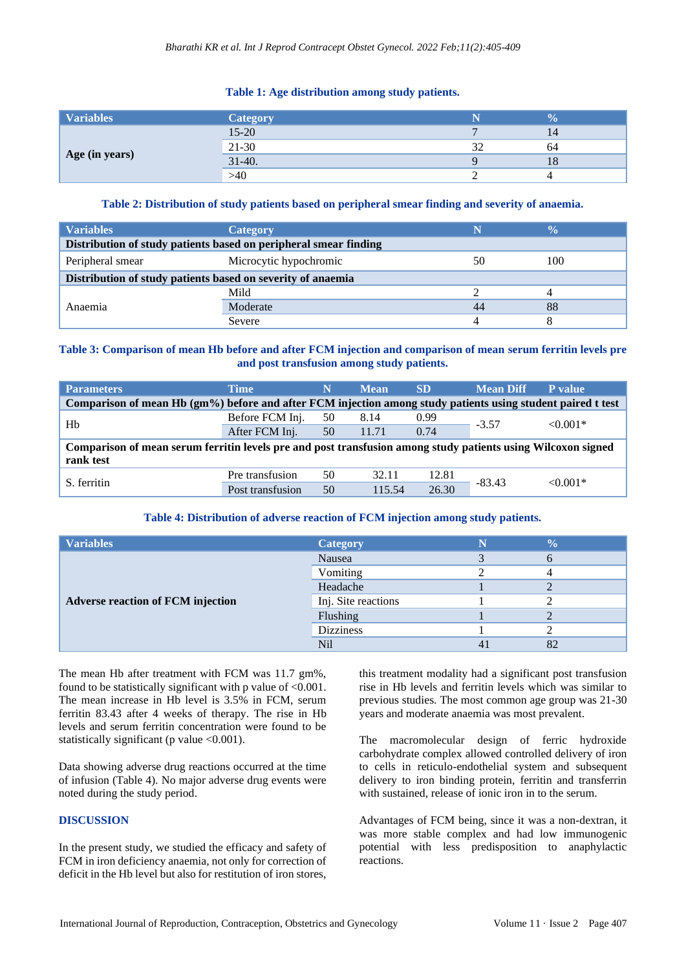#### **Table 1: Age distribution among study patients.**

| <b>Variables</b> | <b>Category</b> | 70 |
|------------------|-----------------|----|
| Age (in years)   | $15 - 20$       |    |
|                  | 21-30           | 64 |
|                  | $31-40.$        | 10 |
|                  | >40             |    |

# **Table 2: Distribution of study patients based on peripheral smear finding and severity of anaemia.**

| <b>Variables</b>                                                 | Category               |    | ‰   |  |
|------------------------------------------------------------------|------------------------|----|-----|--|
| Distribution of study patients based on peripheral smear finding |                        |    |     |  |
| Peripheral smear                                                 | Microcytic hypochromic | 50 | 100 |  |
| Distribution of study patients based on severity of anaemia      |                        |    |     |  |
| Anaemia                                                          | Mild                   |    |     |  |
|                                                                  | Moderate               |    | 88  |  |
|                                                                  | Severe                 |    |     |  |

# **Table 3: Comparison of mean Hb before and after FCM injection and comparison of mean serum ferritin levels pre and post transfusion among study patients.**

| <b>Parameters</b>                                                                                            | Time             |    | <b>Mean</b> | <b>SD</b> | <b>Mean Diff</b> | P value    |
|--------------------------------------------------------------------------------------------------------------|------------------|----|-------------|-----------|------------------|------------|
| Comparison of mean Hb (gm%) before and after FCM injection among study patients using student paired t test  |                  |    |             |           |                  |            |
| Hb                                                                                                           | Before FCM Inj.  | 50 | 8.14        | 0.99      | $-3.57$          | $< 0.001*$ |
|                                                                                                              | After FCM Inj.   | 50 | 11.71       | 0.74      |                  |            |
| Comparison of mean serum ferritin levels pre and post transfusion among study patients using Wilcoxon signed |                  |    |             |           |                  |            |
| rank test                                                                                                    |                  |    |             |           |                  |            |
| S. ferritin                                                                                                  | Pre transfusion  | 50 | 32.11       | 12.81     | $-83.43$         | $< 0.001*$ |
|                                                                                                              | Post transfusion | 50 | 115.54      | 26.30     |                  |            |

#### **Table 4: Distribution of adverse reaction of FCM injection among study patients.**

| <b>Variables</b>                         | <b>Category</b>     | $\frac{0}{0}$ |
|------------------------------------------|---------------------|---------------|
|                                          | Nausea              |               |
|                                          | Vomiting            |               |
|                                          | Headache            |               |
| <b>Adverse reaction of FCM injection</b> | Inj. Site reactions |               |
|                                          | Flushing            |               |
|                                          | <b>Dizziness</b>    |               |
|                                          | <b>Nil</b>          | δŹ            |

The mean Hb after treatment with FCM was 11.7 gm%, found to be statistically significant with p value of  $<0.001$ . The mean increase in Hb level is 3.5% in FCM, serum ferritin 83.43 after 4 weeks of therapy. The rise in Hb levels and serum ferritin concentration were found to be statistically significant (p value  $\langle 0.001 \rangle$ .

Data showing adverse drug reactions occurred at the time of infusion (Table 4). No major adverse drug events were noted during the study period.

# **DISCUSSION**

In the present study, we studied the efficacy and safety of FCM in iron deficiency anaemia, not only for correction of deficit in the Hb level but also for restitution of iron stores,

this treatment modality had a significant post transfusion rise in Hb levels and ferritin levels which was similar to previous studies. The most common age group was 21-30 years and moderate anaemia was most prevalent.

The macromolecular design of ferric hydroxide carbohydrate complex allowed controlled delivery of iron to cells in reticulo-endothelial system and subsequent delivery to iron binding protein, ferritin and transferrin with sustained, release of ionic iron in to the serum.

Advantages of FCM being, since it was a non-dextran, it was more stable complex and had low immunogenic potential with less predisposition to anaphylactic reactions.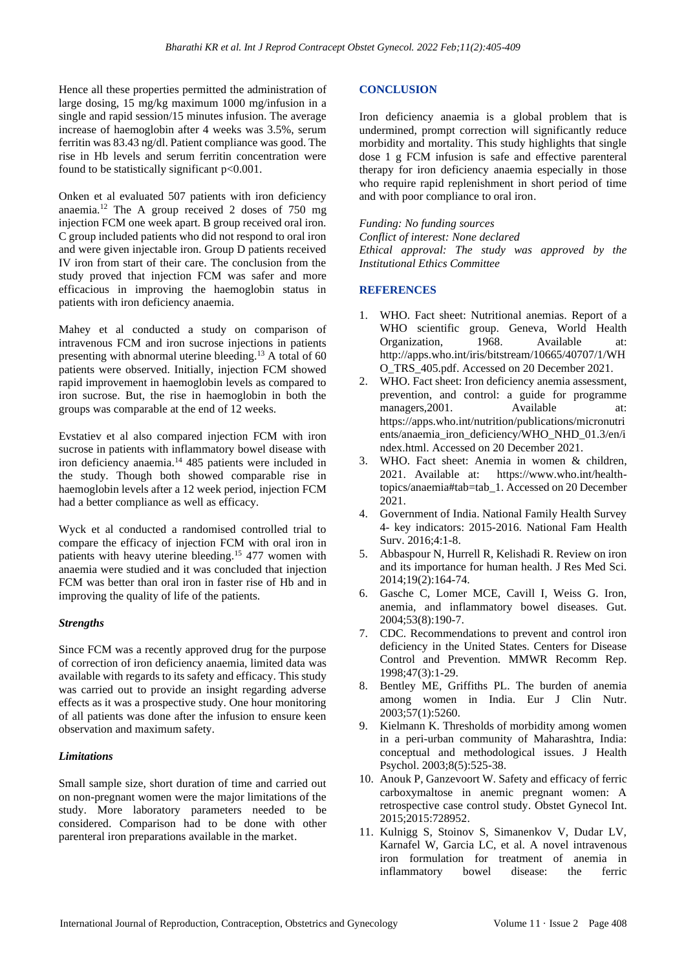Hence all these properties permitted the administration of large dosing, 15 mg/kg maximum 1000 mg/infusion in a single and rapid session/15 minutes infusion. The average increase of haemoglobin after 4 weeks was 3.5%, serum ferritin was 83.43 ng/dl. Patient compliance was good. The rise in Hb levels and serum ferritin concentration were found to be statistically significant p<0.001.

Onken et al evaluated 507 patients with iron deficiency anaemia.<sup>12</sup> The A group received 2 doses of 750 mg injection FCM one week apart. B group received oral iron. C group included patients who did not respond to oral iron and were given injectable iron. Group D patients received IV iron from start of their care. The conclusion from the study proved that injection FCM was safer and more efficacious in improving the haemoglobin status in patients with iron deficiency anaemia.

Mahey et al conducted a study on comparison of intravenous FCM and iron sucrose injections in patients presenting with abnormal uterine bleeding.<sup>13</sup> A total of 60 patients were observed. Initially, injection FCM showed rapid improvement in haemoglobin levels as compared to iron sucrose. But, the rise in haemoglobin in both the groups was comparable at the end of 12 weeks.

Evstatiev et al also compared injection FCM with iron sucrose in patients with inflammatory bowel disease with iron deficiency anaemia.<sup>14</sup> 485 patients were included in the study. Though both showed comparable rise in haemoglobin levels after a 12 week period, injection FCM had a better compliance as well as efficacy.

Wyck et al conducted a randomised controlled trial to compare the efficacy of injection FCM with oral iron in patients with heavy uterine bleeding.<sup>15</sup> 477 women with anaemia were studied and it was concluded that injection FCM was better than oral iron in faster rise of Hb and in improving the quality of life of the patients.

# *Strengths*

Since FCM was a recently approved drug for the purpose of correction of iron deficiency anaemia, limited data was available with regards to its safety and efficacy. This study was carried out to provide an insight regarding adverse effects as it was a prospective study. One hour monitoring of all patients was done after the infusion to ensure keen observation and maximum safety.

#### *Limitations*

Small sample size, short duration of time and carried out on non-pregnant women were the major limitations of the study. More laboratory parameters needed to be considered. Comparison had to be done with other parenteral iron preparations available in the market.

# **CONCLUSION**

Iron deficiency anaemia is a global problem that is undermined, prompt correction will significantly reduce morbidity and mortality. This study highlights that single dose 1 g FCM infusion is safe and effective parenteral therapy for iron deficiency anaemia especially in those who require rapid replenishment in short period of time and with poor compliance to oral iron.

*Funding: No funding sources*

*Conflict of interest: None declared*

*Ethical approval: The study was approved by the Institutional Ethics Committee*

#### **REFERENCES**

- 1. WHO. Fact sheet: Nutritional anemias. Report of a WHO scientific group. Geneva, World Health Organization, 1968. Available at: http://apps.who.int/iris/bitstream/10665/40707/1/WH O\_TRS\_405.pdf. Accessed on 20 December 2021.
- 2. WHO. Fact sheet: Iron deficiency anemia assessment, prevention, and control: a guide for programme managers, 2001. Available at: https://apps.who.int/nutrition/publications/micronutri ents/anaemia\_iron\_deficiency/WHO\_NHD\_01.3/en/i ndex.html. Accessed on 20 December 2021.
- 3. WHO. Fact sheet: Anemia in women & children, 2021. Available at: https://www.who.int/healthtopics/anaemia#tab=tab\_1. Accessed on 20 December 2021.
- 4. Government of India. National Family Health Survey 4- key indicators: 2015-2016. National Fam Health Surv. 2016;4:1-8.
- 5. Abbaspour N, Hurrell R, Kelishadi R. Review on iron and its importance for human health. J Res Med Sci. 2014;19(2):164-74.
- 6. Gasche C, Lomer MCE, Cavill I, Weiss G. Iron, anemia, and inflammatory bowel diseases. Gut. 2004;53(8):190-7.
- 7. CDC. Recommendations to prevent and control iron deficiency in the United States. Centers for Disease Control and Prevention. MMWR Recomm Rep. 1998;47(3):1-29.
- 8. Bentley ME, Griffiths PL. The burden of anemia among women in India. Eur J Clin Nutr. 2003;57(1):5260.
- 9. Kielmann K. Thresholds of morbidity among women in a peri-urban community of Maharashtra, India: conceptual and methodological issues. J Health Psychol. 2003;8(5):525-38.
- 10. Anouk P, Ganzevoort W. Safety and efficacy of ferric carboxymaltose in anemic pregnant women: A retrospective case control study. Obstet Gynecol Int. 2015;2015:728952.
- 11. Kulnigg S, Stoinov S, Simanenkov V, Dudar LV, Karnafel W, Garcia LC, et al. A novel intravenous iron formulation for treatment of anemia in inflammatory bowel disease: the ferric